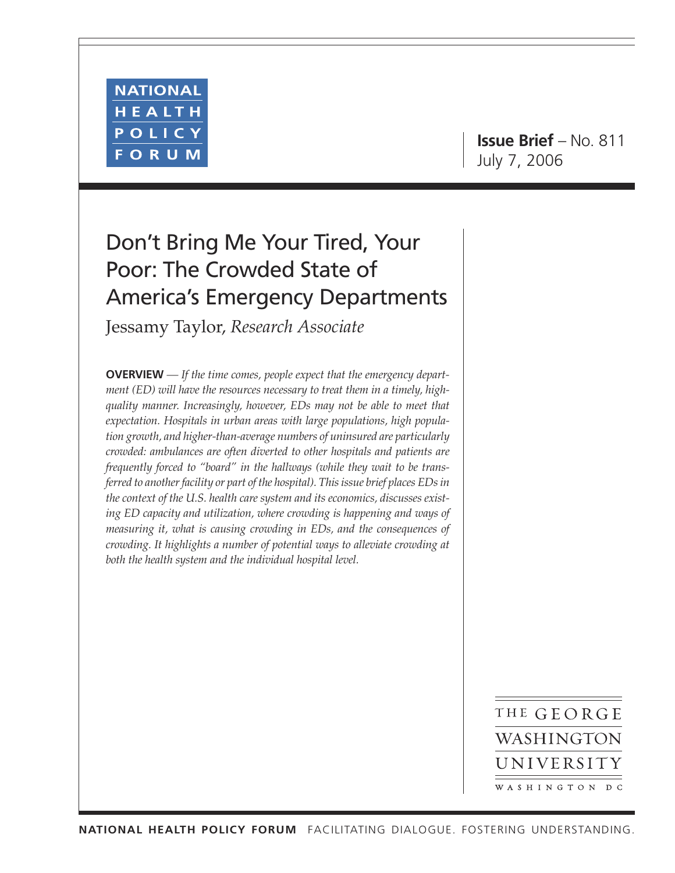

**Issue Brief** – No. 811 July 7, 2006

# Don't Bring Me Your Tired, Your Poor: The Crowded State of America's Emergency Departments

Jessamy Taylor, *Research Associate*

**OVERVIEW** *— If the time comes, people expect that the emergency department (ED) will have the resources necessary to treat them in a timely, highquality manner. Increasingly, however, EDs may not be able to meet that expectation. Hospitals in urban areas with large populations, high population growth, and higher-than-average numbers of uninsured are particularly crowded: ambulances are often diverted to other hospitals and patients are frequently forced to "board" in the hallways (while they wait to be transferred to another facility or part of the hospital). This issue brief places EDs in the context of the U.S. health care system and its economics, discusses existing ED capacity and utilization, where crowding is happening and ways of measuring it, what is causing crowding in EDs, and the consequences of crowding. It highlights a number of potential ways to alleviate crowding at both the health system and the individual hospital level.*

> THE GEORGE WASHINGTON UNIVERSITY WASHINGTON DC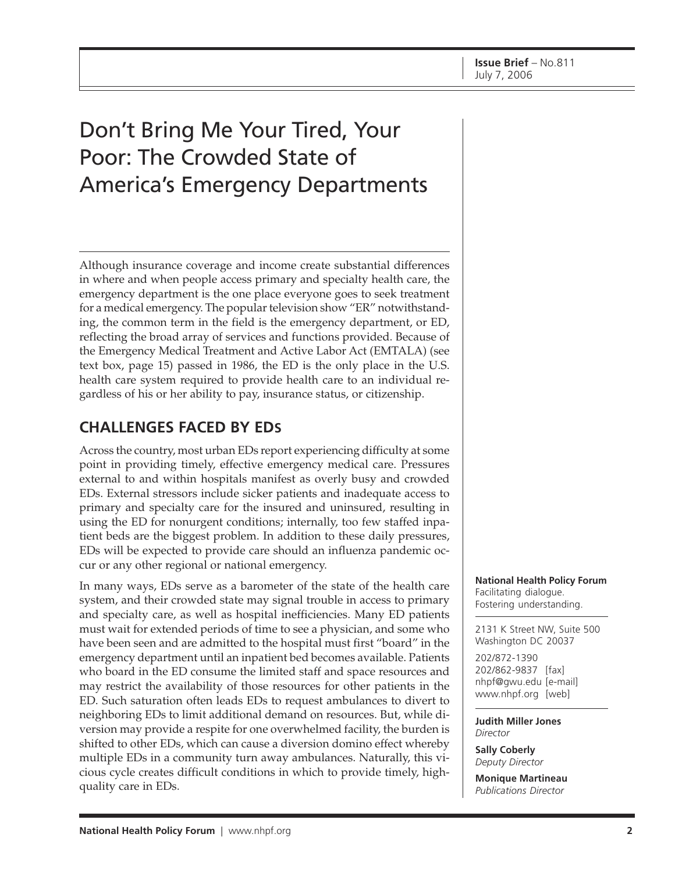# Don't Bring Me Your Tired, Your Poor: The Crowded State of America's Emergency Departments

Although insurance coverage and income create substantial differences in where and when people access primary and specialty health care, the emergency department is the one place everyone goes to seek treatment for a medical emergency. The popular television show "ER" notwithstanding, the common term in the field is the emergency department, or ED, reflecting the broad array of services and functions provided. Because of the Emergency Medical Treatment and Active Labor Act (EMTALA) (see text box, page 15) passed in 1986, the ED is the only place in the U.S. health care system required to provide health care to an individual regardless of his or her ability to pay, insurance status, or citizenship.

# **CHALLENGES FACED BY EDS**

Across the country, most urban EDs report experiencing difficulty at some point in providing timely, effective emergency medical care. Pressures external to and within hospitals manifest as overly busy and crowded EDs. External stressors include sicker patients and inadequate access to primary and specialty care for the insured and uninsured, resulting in using the ED for nonurgent conditions; internally, too few staffed inpatient beds are the biggest problem. In addition to these daily pressures, EDs will be expected to provide care should an influenza pandemic occur or any other regional or national emergency.

In many ways, EDs serve as a barometer of the state of the health care system, and their crowded state may signal trouble in access to primary and specialty care, as well as hospital inefficiencies. Many ED patients must wait for extended periods of time to see a physician, and some who have been seen and are admitted to the hospital must first "board" in the emergency department until an inpatient bed becomes available. Patients who board in the ED consume the limited staff and space resources and may restrict the availability of those resources for other patients in the ED. Such saturation often leads EDs to request ambulances to divert to neighboring EDs to limit additional demand on resources. But, while diversion may provide a respite for one overwhelmed facility, the burden is shifted to other EDs, which can cause a diversion domino effect whereby multiple EDs in a community turn away ambulances. Naturally, this vicious cycle creates difficult conditions in which to provide timely, highquality care in EDs.

**National Health Policy Forum** Facilitating dialogue. Fostering understanding.

2131 K Street NW, Suite 500 Washington DC 20037

202/872-1390 202/862-9837 [fax] [nhpf@gwu.edu \[e](mailto:nhpf@gwu.edu)-mail] [www.nhpf.org \[w](http://www.nhpf.org)eb]

**Judith Miller Jones** *Director*

**Sally Coberly** *Deputy Director*

**Monique Martineau** *Publications Director*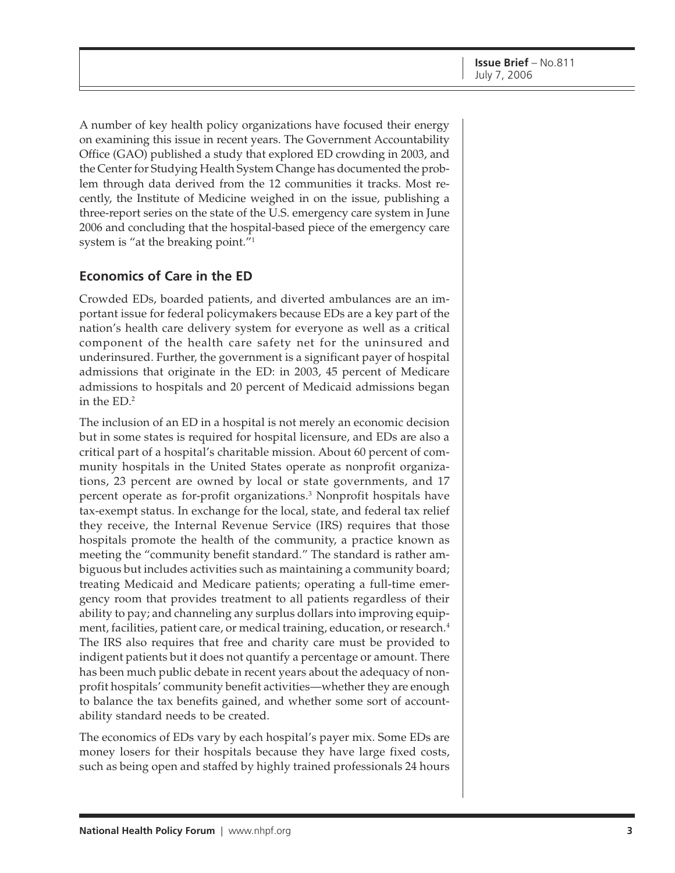A number of key health policy organizations have focused their energy on examining this issue in recent years. The Government Accountability Office (GAO) published a study that explored ED crowding in 2003, and the Center for Studying Health System Change has documented the problem through data derived from the 12 communities it tracks. Most recently, the Institute of Medicine weighed in on the issue, publishing a three-report series on the state of the U.S. emergency care system in June 2006 and concluding that the hospital-based piece of the emergency care system is "at the breaking point."1

# **Economics of Care in the ED**

Crowded EDs, boarded patients, and diverted ambulances are an important issue for federal policymakers because EDs are a key part of the nation's health care delivery system for everyone as well as a critical component of the health care safety net for the uninsured and underinsured. Further, the government is a significant payer of hospital admissions that originate in the ED: in 2003, 45 percent of Medicare admissions to hospitals and 20 percent of Medicaid admissions began in the ED.2

The inclusion of an ED in a hospital is not merely an economic decision but in some states is required for hospital licensure, and EDs are also a critical part of a hospital's charitable mission. About 60 percent of community hospitals in the United States operate as nonprofit organizations, 23 percent are owned by local or state governments, and 17 percent operate as for-profit organizations.<sup>3</sup> Nonprofit hospitals have tax-exempt status. In exchange for the local, state, and federal tax relief they receive, the Internal Revenue Service (IRS) requires that those hospitals promote the health of the community, a practice known as meeting the "community benefit standard." The standard is rather ambiguous but includes activities such as maintaining a community board; treating Medicaid and Medicare patients; operating a full-time emergency room that provides treatment to all patients regardless of their ability to pay; and channeling any surplus dollars into improving equipment, facilities, patient care, or medical training, education, or research.<sup>4</sup> The IRS also requires that free and charity care must be provided to indigent patients but it does not quantify a percentage or amount. There has been much public debate in recent years about the adequacy of nonprofit hospitals' community benefit activities—whether they are enough to balance the tax benefits gained, and whether some sort of accountability standard needs to be created.

The economics of EDs vary by each hospital's payer mix. Some EDs are money losers for their hospitals because they have large fixed costs, such as being open and staffed by highly trained professionals 24 hours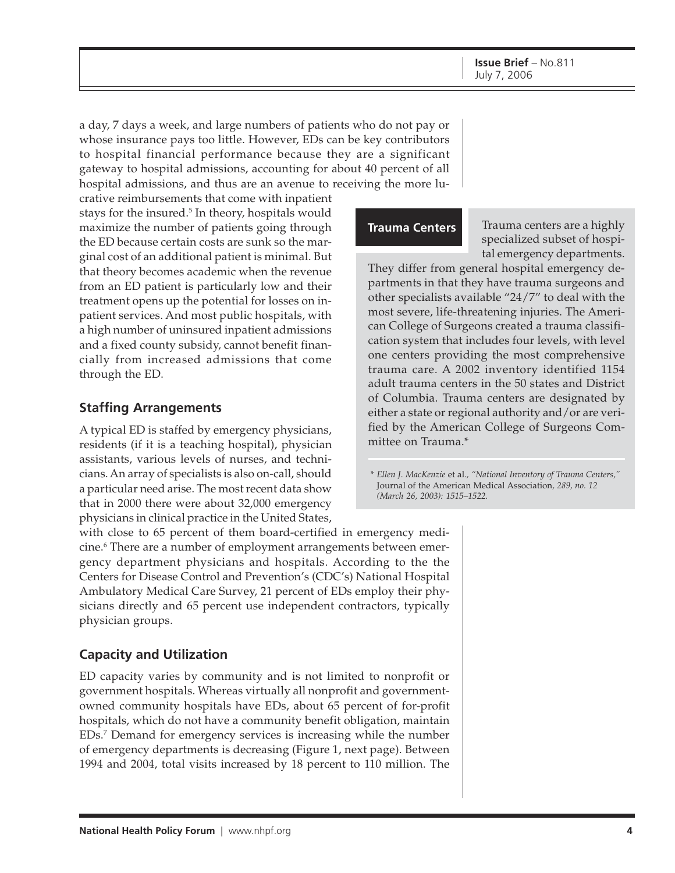a day, 7 days a week, and large numbers of patients who do not pay or whose insurance pays too little. However, EDs can be key contributors to hospital financial performance because they are a significant gateway to hospital admissions, accounting for about 40 percent of all hospital admissions, and thus are an avenue to receiving the more lu-

crative reimbursements that come with inpatient stays for the insured.<sup>5</sup> In theory, hospitals would maximize the number of patients going through the ED because certain costs are sunk so the marginal cost of an additional patient is minimal. But that theory becomes academic when the revenue from an ED patient is particularly low and their treatment opens up the potential for losses on inpatient services. And most public hospitals, with a high number of uninsured inpatient admissions and a fixed county subsidy, cannot benefit financially from increased admissions that come through the ED.

# **Staffing Arrangements**

A typical ED is staffed by emergency physicians, residents (if it is a teaching hospital), physician assistants, various levels of nurses, and technicians. An array of specialists is also on-call, should a particular need arise. The most recent data show that in 2000 there were about 32,000 emergency physicians in clinical practice in the United States,

with close to 65 percent of them board-certified in emergency medicine.<sup>6</sup> There are a number of employment arrangements between emergency department physicians and hospitals. According to the the Centers for Disease Control and Prevention's (CDC's) National Hospital Ambulatory Medical Care Survey, 21 percent of EDs employ their physicians directly and 65 percent use independent contractors, typically physician groups.

# **Capacity and Utilization**

ED capacity varies by community and is not limited to nonprofit or government hospitals. Whereas virtually all nonprofit and governmentowned community hospitals have EDs, about 65 percent of for-profit hospitals, which do not have a community benefit obligation, maintain EDs.7 Demand for emergency services is increasing while the number of emergency departments is decreasing (Figure 1, next page). Between 1994 and 2004, total visits increased by 18 percent to 110 million. The

# **Trauma Centers**

Trauma centers are a highly specialized subset of hospital emergency departments.

They differ from general hospital emergency departments in that they have trauma surgeons and other specialists available "24/7" to deal with the most severe, life-threatening injuries. The American College of Surgeons created a trauma classification system that includes four levels, with level one centers providing the most comprehensive trauma care. A 2002 inventory identified 1154 adult trauma centers in the 50 states and District of Columbia. Trauma centers are designated by either a state or regional authority and/or are verified by the American College of Surgeons Committee on Trauma.\*

*\* Ellen J. MacKenzie* et al*., "National Inventory of Trauma Centers,"* Journal of the American Medical Association*, 289, no. 12 (March 26, 2003): 1515–1522.*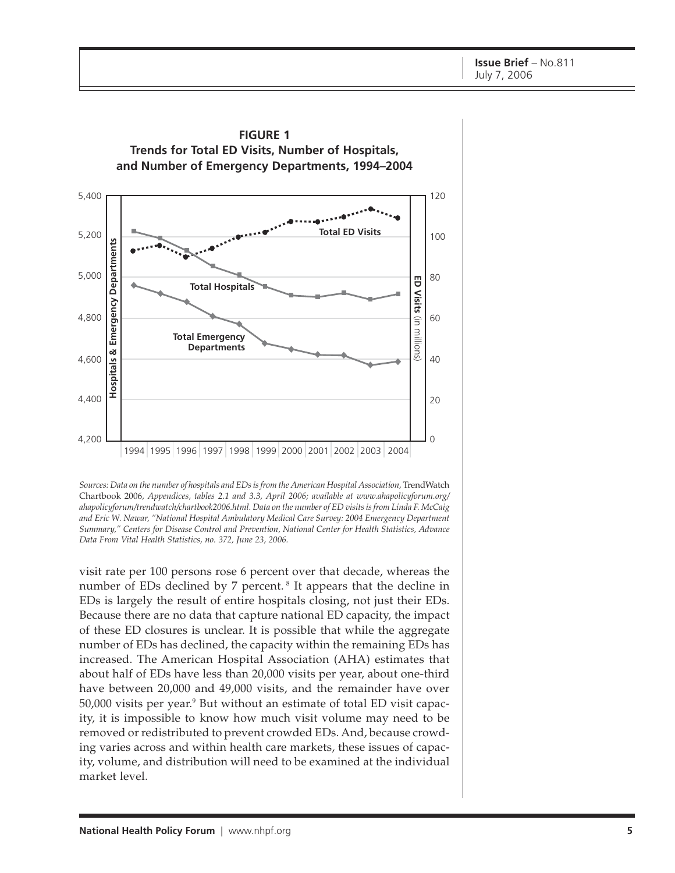

**FIGURE 1**

visit rate per 100 persons rose 6 percent over that decade, whereas the number of EDs declined by 7 percent.<sup>8</sup> It appears that the decline in EDs is largely the result of entire hospitals closing, not just their EDs. Because there are no data that capture national ED capacity, the impact of these ED closures is unclear. It is possible that while the aggregate number of EDs has declined, the capacity within the remaining EDs has increased. The American Hospital Association (AHA) estimates that about half of EDs have less than 20,000 visits per year, about one-third have between 20,000 and 49,000 visits, and the remainder have over 50,000 visits per year.<sup>9</sup> But without an estimate of total ED visit capacity, it is impossible to know how much visit volume may need to be removed or redistributed to prevent crowded EDs. And, because crowding varies across and within health care markets, these issues of capacity, volume, and distribution will need to be examined at the individual market level.

Sources: Data on the number of hospitals and EDs is from the American Hospital Association, TrendWatch Chartbook 2006*, Appendices, tables 2.1 and 3.3, April 2006; available at [www.ahapolicyforum.org/](http://www.ahapolicyforum.org) ahapolicyforum/trendwatch/chartbook2006.html. Data on the number of ED visits is from Linda F. McCaig and Eric W. Nawar, "National Hospital Ambulatory Medical Care Survey: 2004 Emergency Department Summary," Centers for Disease Control and Prevention, National Center for Health Statistics, Advance Data From Vital Health Statistics, no. 372, June 23, 2006.*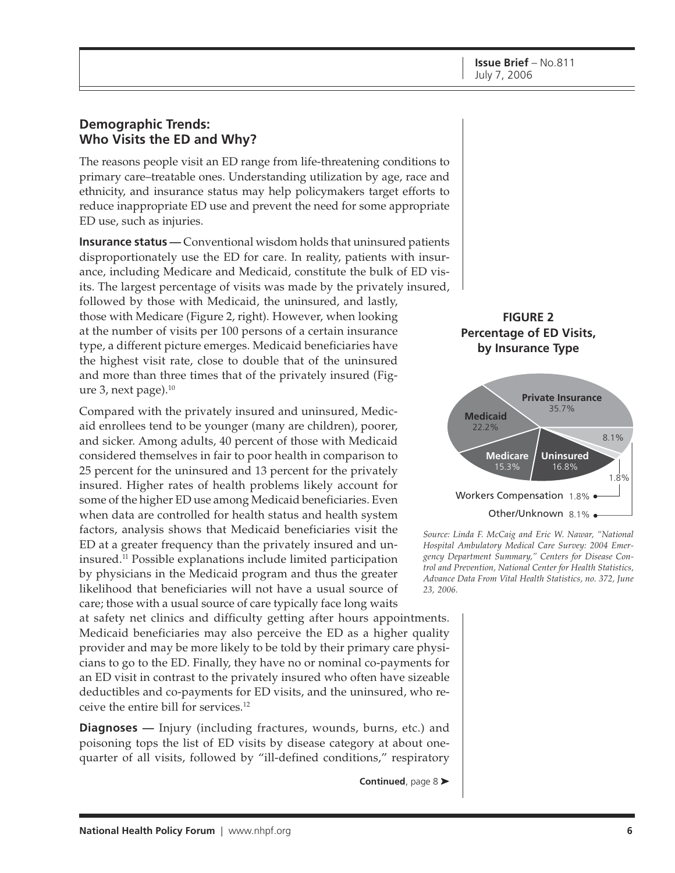## **Demographic Trends: Who Visits the ED and Why?**

The reasons people visit an ED range from life-threatening conditions to primary care–treatable ones. Understanding utilization by age, race and ethnicity, and insurance status may help policymakers target efforts to reduce inappropriate ED use and prevent the need for some appropriate ED use, such as injuries.

**Insurance status** — Conventional wisdom holds that uninsured patients disproportionately use the ED for care. In reality, patients with insurance, including Medicare and Medicaid, constitute the bulk of ED visits. The largest percentage of visits was made by the privately insured, followed by those with Medicaid, the uninsured, and lastly, those with Medicare (Figure 2, right). However, when looking at the number of visits per 100 persons of a certain insurance type, a different picture emerges. Medicaid beneficiaries have the highest visit rate, close to double that of the uninsured and more than three times that of the privately insured (Figure 3, next page). $10$ 

Compared with the privately insured and uninsured, Medicaid enrollees tend to be younger (many are children), poorer, and sicker. Among adults, 40 percent of those with Medicaid considered themselves in fair to poor health in comparison to 25 percent for the uninsured and 13 percent for the privately insured. Higher rates of health problems likely account for some of the higher ED use among Medicaid beneficiaries. Even when data are controlled for health status and health system factors, analysis shows that Medicaid beneficiaries visit the ED at a greater frequency than the privately insured and uninsured.11 Possible explanations include limited participation by physicians in the Medicaid program and thus the greater likelihood that beneficiaries will not have a usual source of care; those with a usual source of care typically face long waits

at safety net clinics and difficulty getting after hours appointments. Medicaid beneficiaries may also perceive the ED as a higher quality provider and may be more likely to be told by their primary care physicians to go to the ED. Finally, they have no or nominal co-payments for an ED visit in contrast to the privately insured who often have sizeable deductibles and co-payments for ED visits, and the uninsured, who receive the entire bill for services.12

**Diagnoses —** Injury (including fractures, wounds, burns, etc.) and poisoning tops the list of ED visits by disease category at about onequarter of all visits, followed by "ill-defined conditions," respiratory

**Continued**, page 8 ➤





*Source: Linda F. McCaig and Eric W. Nawar, "National Hospital Ambulatory Medical Care Survey: 2004 Emergency Department Summary," Centers for Disease Control and Prevention, National Center for Health Statistics, Advance Data From Vital Health Statistics, no. 372, June 23, 2006.*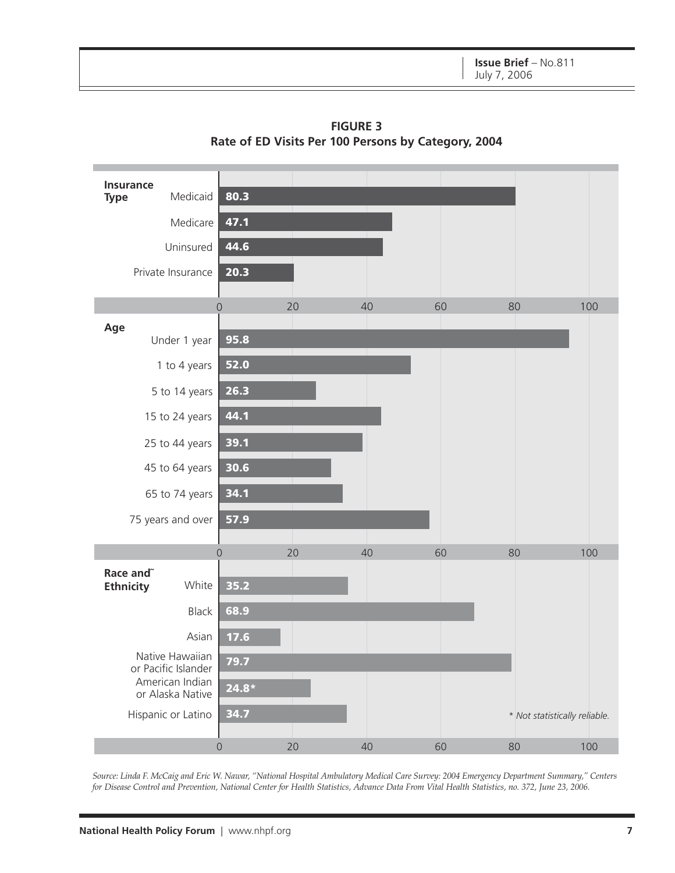

**FIGURE 3 Rate of ED Visits Per 100 Persons by Category, 2004**

*Source: Linda F. McCaig and Eric W. Nawar, "National Hospital Ambulatory Medical Care Survey: 2004 Emergency Department Summary," Centers for Disease Control and Prevention, National Center for Health Statistics, Advance Data From Vital Health Statistics, no. 372, June 23, 2006.*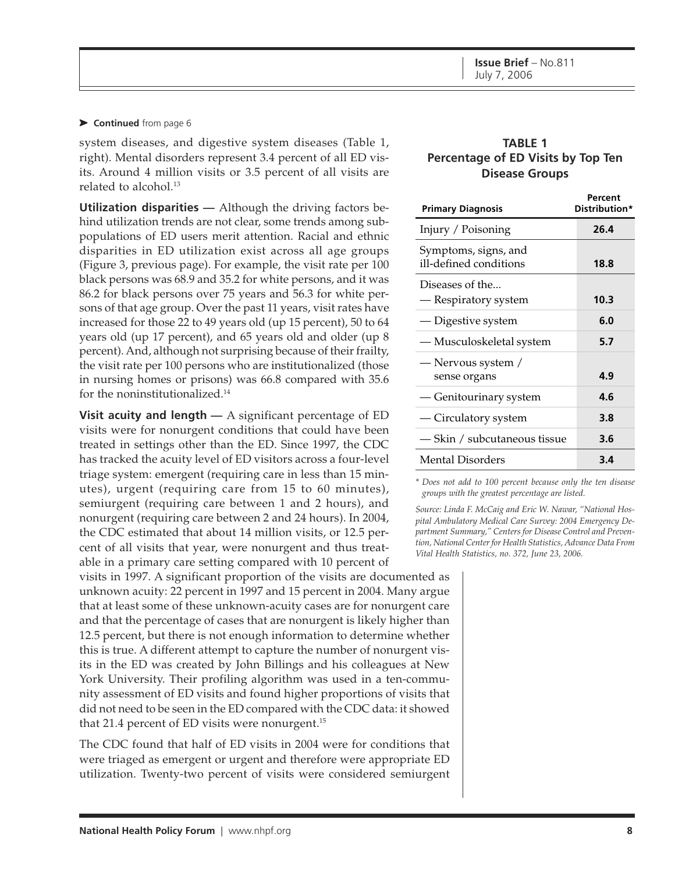#### ➤ **Continued** from page 6

system diseases, and digestive system diseases (Table 1, right). Mental disorders represent 3.4 percent of all ED visits. Around 4 million visits or 3.5 percent of all visits are related to alcohol.<sup>13</sup>

**Utilization disparities —** Although the driving factors behind utilization trends are not clear, some trends among subpopulations of ED users merit attention. Racial and ethnic disparities in ED utilization exist across all age groups (Figure 3, previous page). For example, the visit rate per 100 black persons was 68.9 and 35.2 for white persons, and it was 86.2 for black persons over 75 years and 56.3 for white persons of that age group. Over the past 11 years, visit rates have increased for those 22 to 49 years old (up 15 percent), 50 to 64 years old (up 17 percent), and 65 years old and older (up 8 percent). And, although not surprising because of their frailty, the visit rate per 100 persons who are institutionalized (those in nursing homes or prisons) was 66.8 compared with 35.6 for the noninstitutionalized.14

**Visit acuity and length —** A significant percentage of ED visits were for nonurgent conditions that could have been treated in settings other than the ED. Since 1997, the CDC has tracked the acuity level of ED visitors across a four-level triage system: emergent (requiring care in less than 15 minutes), urgent (requiring care from 15 to 60 minutes), semiurgent (requiring care between 1 and 2 hours), and nonurgent (requiring care between 2 and 24 hours). In 2004, the CDC estimated that about 14 million visits, or 12.5 percent of all visits that year, were nonurgent and thus treatable in a primary care setting compared with 10 percent of

visits in 1997. A significant proportion of the visits are documented as unknown acuity: 22 percent in 1997 and 15 percent in 2004. Many argue that at least some of these unknown-acuity cases are for nonurgent care and that the percentage of cases that are nonurgent is likely higher than 12.5 percent, but there is not enough information to determine whether this is true. A different attempt to capture the number of nonurgent visits in the ED was created by John Billings and his colleagues at New York University. Their profiling algorithm was used in a ten-community assessment of ED visits and found higher proportions of visits that did not need to be seen in the ED compared with the CDC data: it showed that 21.4 percent of ED visits were nonurgent.<sup>15</sup>

The CDC found that half of ED visits in 2004 were for conditions that were triaged as emergent or urgent and therefore were appropriate ED utilization. Twenty-two percent of visits were considered semiurgent

### **TABLE 1 Percentage of ED Visits by Top Ten Disease Groups**

| <b>Primary Diagnosis</b>                       | Percent<br>Distribution* |
|------------------------------------------------|--------------------------|
| Injury / Poisoning                             | 26.4                     |
| Symptoms, signs, and<br>ill-defined conditions | 18.8                     |
| Diseases of the<br>— Respiratory system        | 10.3                     |
| — Digestive system                             | 6.0                      |
| — Musculoskeletal system                       | 5.7                      |
| — Nervous system /<br>sense organs             | 4.9                      |
| - Genitourinary system                         | 4.6                      |
| — Circulatory system                           | 3.8                      |
| — Skin / subcutaneous tissue                   | 3.6                      |
| <b>Mental Disorders</b>                        | 3.4                      |

*\* Does not add to 100 percent because only the ten disease groups with the greatest percentage are listed.*

*Source: Linda F. McCaig and Eric W. Nawar, "National Hospital Ambulatory Medical Care Survey: 2004 Emergency Department Summary," Centers for Disease Control and Prevention, National Center for Health Statistics, Advance Data From Vital Health Statistics, no. 372, June 23, 2006.*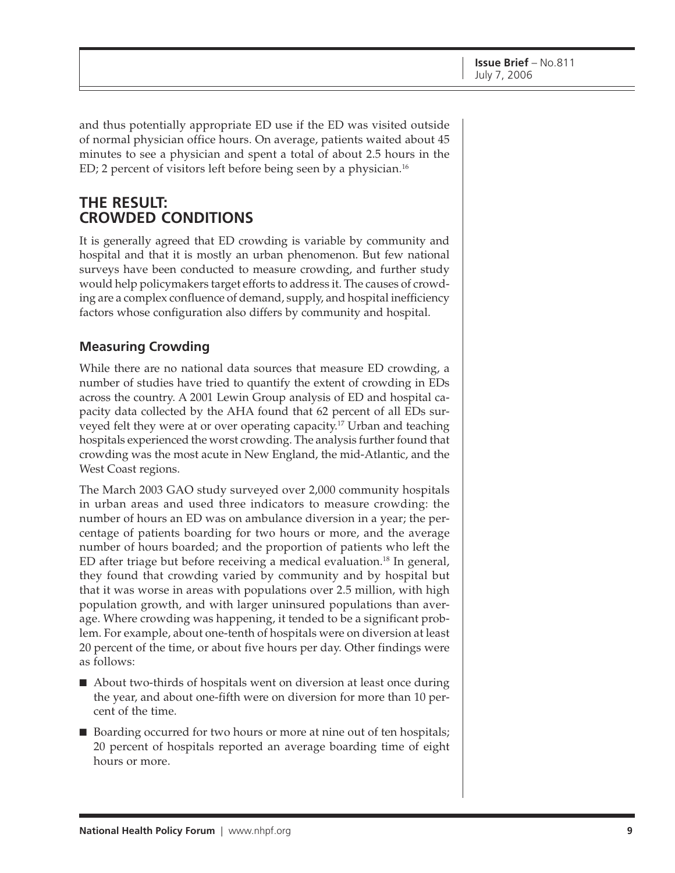and thus potentially appropriate ED use if the ED was visited outside of normal physician office hours. On average, patients waited about 45 minutes to see a physician and spent a total of about 2.5 hours in the ED; 2 percent of visitors left before being seen by a physician.<sup>16</sup>

# **THE RESULT: CROWDED CONDITIONS**

It is generally agreed that ED crowding is variable by community and hospital and that it is mostly an urban phenomenon. But few national surveys have been conducted to measure crowding, and further study would help policymakers target efforts to address it. The causes of crowding are a complex confluence of demand, supply, and hospital inefficiency factors whose configuration also differs by community and hospital.

# **Measuring Crowding**

While there are no national data sources that measure ED crowding, a number of studies have tried to quantify the extent of crowding in EDs across the country. A 2001 Lewin Group analysis of ED and hospital capacity data collected by the AHA found that 62 percent of all EDs surveyed felt they were at or over operating capacity.17 Urban and teaching hospitals experienced the worst crowding. The analysis further found that crowding was the most acute in New England, the mid-Atlantic, and the West Coast regions.

The March 2003 GAO study surveyed over 2,000 community hospitals in urban areas and used three indicators to measure crowding: the number of hours an ED was on ambulance diversion in a year; the percentage of patients boarding for two hours or more, and the average number of hours boarded; and the proportion of patients who left the ED after triage but before receiving a medical evaluation.<sup>18</sup> In general, they found that crowding varied by community and by hospital but that it was worse in areas with populations over 2.5 million, with high population growth, and with larger uninsured populations than average. Where crowding was happening, it tended to be a significant problem. For example, about one-tenth of hospitals were on diversion at least 20 percent of the time, or about five hours per day. Other findings were as follows:

- About two-thirds of hospitals went on diversion at least once during the year, and about one-fifth were on diversion for more than 10 percent of the time.
- Boarding occurred for two hours or more at nine out of ten hospitals; 20 percent of hospitals reported an average boarding time of eight hours or more.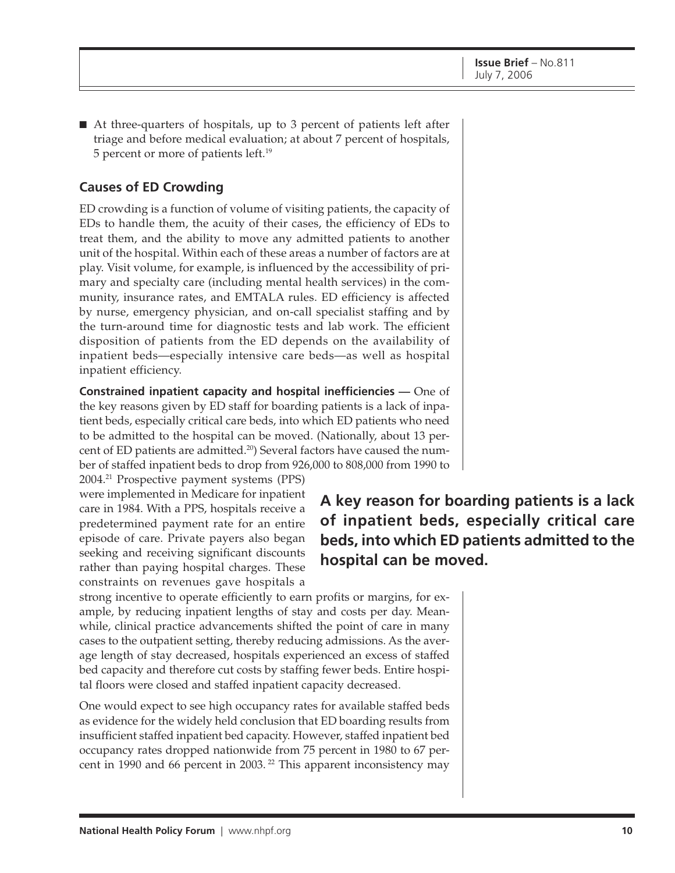■ At three-quarters of hospitals, up to 3 percent of patients left after triage and before medical evaluation; at about 7 percent of hospitals, 5 percent or more of patients left.19

# **Causes of ED Crowding**

ED crowding is a function of volume of visiting patients, the capacity of EDs to handle them, the acuity of their cases, the efficiency of EDs to treat them, and the ability to move any admitted patients to another unit of the hospital. Within each of these areas a number of factors are at play. Visit volume, for example, is influenced by the accessibility of primary and specialty care (including mental health services) in the community, insurance rates, and EMTALA rules. ED efficiency is affected by nurse, emergency physician, and on-call specialist staffing and by the turn-around time for diagnostic tests and lab work. The efficient disposition of patients from the ED depends on the availability of inpatient beds—especially intensive care beds—as well as hospital inpatient efficiency.

**Constrained inpatient capacity and hospital inefficiencies —** One of the key reasons given by ED staff for boarding patients is a lack of inpatient beds, especially critical care beds, into which ED patients who need to be admitted to the hospital can be moved. (Nationally, about 13 percent of ED patients are admitted.<sup>20</sup>) Several factors have caused the number of staffed inpatient beds to drop from 926,000 to 808,000 from 1990 to

2004.21 Prospective payment systems (PPS) were implemented in Medicare for inpatient care in 1984. With a PPS, hospitals receive a predetermined payment rate for an entire episode of care. Private payers also began seeking and receiving significant discounts rather than paying hospital charges. These constraints on revenues gave hospitals a

**A key reason for boarding patients is a lack of inpatient beds, especially critical care beds, into which ED patients admitted to the hospital can be moved.**

strong incentive to operate efficiently to earn profits or margins, for example, by reducing inpatient lengths of stay and costs per day. Meanwhile, clinical practice advancements shifted the point of care in many cases to the outpatient setting, thereby reducing admissions. As the average length of stay decreased, hospitals experienced an excess of staffed bed capacity and therefore cut costs by staffing fewer beds. Entire hospital floors were closed and staffed inpatient capacity decreased.

One would expect to see high occupancy rates for available staffed beds as evidence for the widely held conclusion that ED boarding results from insufficient staffed inpatient bed capacity. However, staffed inpatient bed occupancy rates dropped nationwide from 75 percent in 1980 to 67 percent in 1990 and 66 percent in 2003. 22 This apparent inconsistency may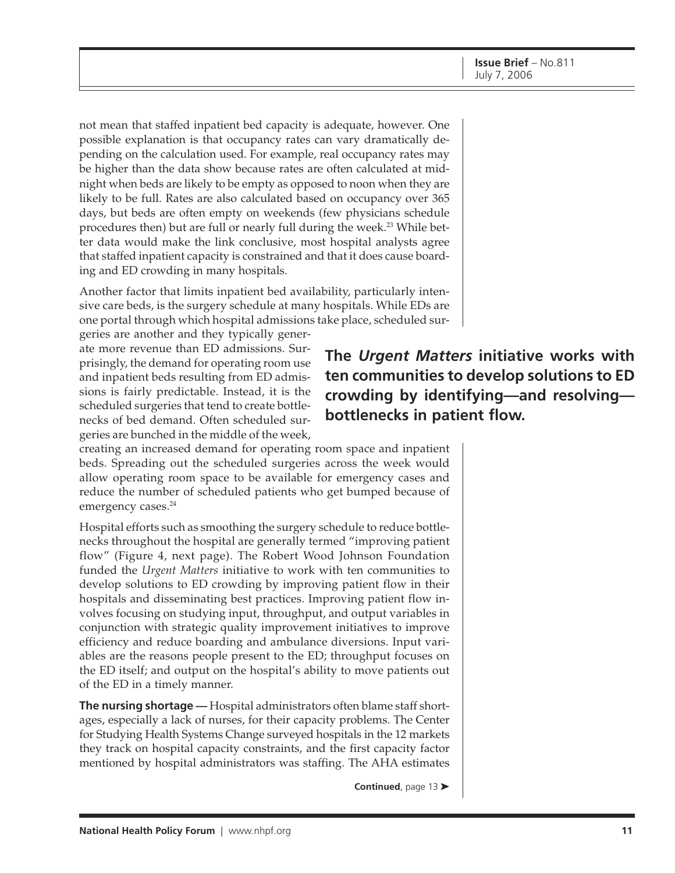not mean that staffed inpatient bed capacity is adequate, however. One possible explanation is that occupancy rates can vary dramatically depending on the calculation used. For example, real occupancy rates may be higher than the data show because rates are often calculated at midnight when beds are likely to be empty as opposed to noon when they are likely to be full. Rates are also calculated based on occupancy over 365 days, but beds are often empty on weekends (few physicians schedule procedures then) but are full or nearly full during the week.<sup>23</sup> While better data would make the link conclusive, most hospital analysts agree that staffed inpatient capacity is constrained and that it does cause boarding and ED crowding in many hospitals.

Another factor that limits inpatient bed availability, particularly intensive care beds, is the surgery schedule at many hospitals. While EDs are one portal through which hospital admissions take place, scheduled sur-

geries are another and they typically generate more revenue than ED admissions. Surprisingly, the demand for operating room use and inpatient beds resulting from ED admissions is fairly predictable. Instead, it is the scheduled surgeries that tend to create bottlenecks of bed demand. Often scheduled surgeries are bunched in the middle of the week,

creating an increased demand for operating room space and inpatient beds. Spreading out the scheduled surgeries across the week would allow operating room space to be available for emergency cases and reduce the number of scheduled patients who get bumped because of emergency cases.<sup>24</sup>

Hospital efforts such as smoothing the surgery schedule to reduce bottlenecks throughout the hospital are generally termed "improving patient flow" (Figure 4, next page). The Robert Wood Johnson Foundation funded the *Urgent Matters* initiative to work with ten communities to develop solutions to ED crowding by improving patient flow in their hospitals and disseminating best practices. Improving patient flow involves focusing on studying input, throughput, and output variables in conjunction with strategic quality improvement initiatives to improve efficiency and reduce boarding and ambulance diversions. Input variables are the reasons people present to the ED; throughput focuses on the ED itself; and output on the hospital's ability to move patients out of the ED in a timely manner.

**The nursing shortage** — Hospital administrators often blame staff shortages, especially a lack of nurses, for their capacity problems. The Center for Studying Health Systems Change surveyed hospitals in the 12 markets they track on hospital capacity constraints, and the first capacity factor mentioned by hospital administrators was staffing. The AHA estimates

**Continued**, page 13 ➤

**The** *Urgent Matters* **initiative works with ten communities to develop solutions to ED crowding by identifying—and resolving bottlenecks in patient flow.**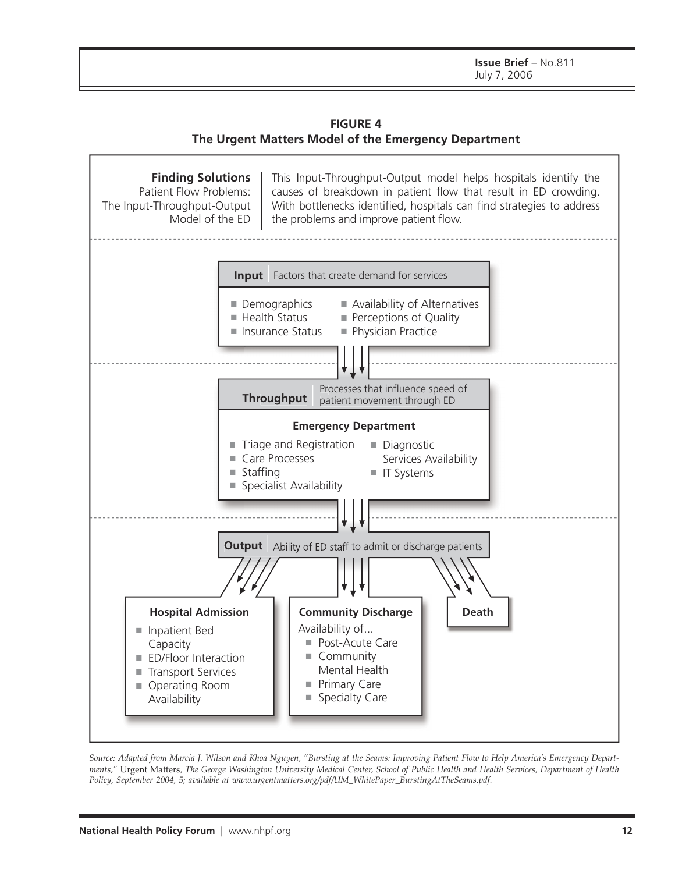**FIGURE 4 The Urgent Matters Model of the Emergency Department**



*Source: Adapted from Marcia J. Wilson and Khoa Nguyen, "Bursting at the Seams: Improving Patient Flow to Help America's Emergency Departments,"* Urgent Matters*, The George Washington University Medical Center, School of Public Health and Health Services, Department of Health Policy, September 2004, 5; available at [www.urgentmatters.org/pdf/UM\\_WhitePaper\\_BurstingAtTheSeams.pdf.](http://www.urgentmatters.org/pdf/UM_WhitePaper_BurstingAtTheSeams.pdf)*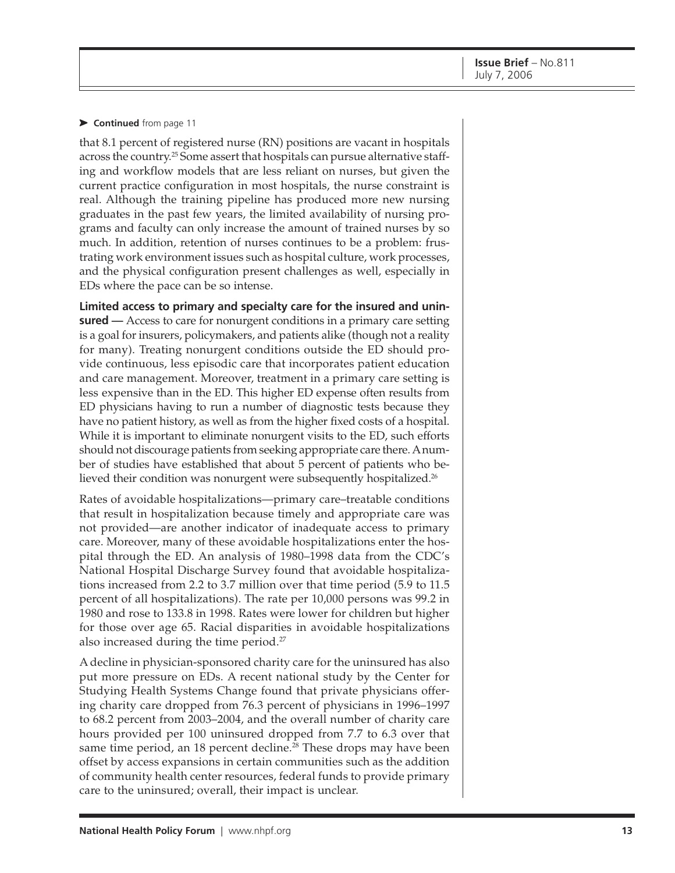#### ➤ **Continued** from page 11

that 8.1 percent of registered nurse (RN) positions are vacant in hospitals across the country.<sup>25</sup> Some assert that hospitals can pursue alternative staffing and workflow models that are less reliant on nurses, but given the current practice configuration in most hospitals, the nurse constraint is real. Although the training pipeline has produced more new nursing graduates in the past few years, the limited availability of nursing programs and faculty can only increase the amount of trained nurses by so much. In addition, retention of nurses continues to be a problem: frustrating work environment issues such as hospital culture, work processes, and the physical configuration present challenges as well, especially in EDs where the pace can be so intense.

**Limited access to primary and specialty care for the insured and uninsured** — Access to care for nonurgent conditions in a primary care setting is a goal for insurers, policymakers, and patients alike (though not a reality for many). Treating nonurgent conditions outside the ED should provide continuous, less episodic care that incorporates patient education and care management. Moreover, treatment in a primary care setting is less expensive than in the ED. This higher ED expense often results from ED physicians having to run a number of diagnostic tests because they have no patient history, as well as from the higher fixed costs of a hospital. While it is important to eliminate nonurgent visits to the ED, such efforts should not discourage patients from seeking appropriate care there. A number of studies have established that about 5 percent of patients who believed their condition was nonurgent were subsequently hospitalized.<sup>26</sup>

Rates of avoidable hospitalizations—primary care–treatable conditions that result in hospitalization because timely and appropriate care was not provided—are another indicator of inadequate access to primary care. Moreover, many of these avoidable hospitalizations enter the hospital through the ED. An analysis of 1980–1998 data from the CDC's National Hospital Discharge Survey found that avoidable hospitalizations increased from 2.2 to 3.7 million over that time period (5.9 to 11.5 percent of all hospitalizations). The rate per 10,000 persons was 99.2 in 1980 and rose to 133.8 in 1998. Rates were lower for children but higher for those over age 65. Racial disparities in avoidable hospitalizations also increased during the time period.<sup>27</sup>

A decline in physician-sponsored charity care for the uninsured has also put more pressure on EDs. A recent national study by the Center for Studying Health Systems Change found that private physicians offering charity care dropped from 76.3 percent of physicians in 1996–1997 to 68.2 percent from 2003–2004, and the overall number of charity care hours provided per 100 uninsured dropped from 7.7 to 6.3 over that same time period, an 18 percent decline.<sup>28</sup> These drops may have been offset by access expansions in certain communities such as the addition of community health center resources, federal funds to provide primary care to the uninsured; overall, their impact is unclear.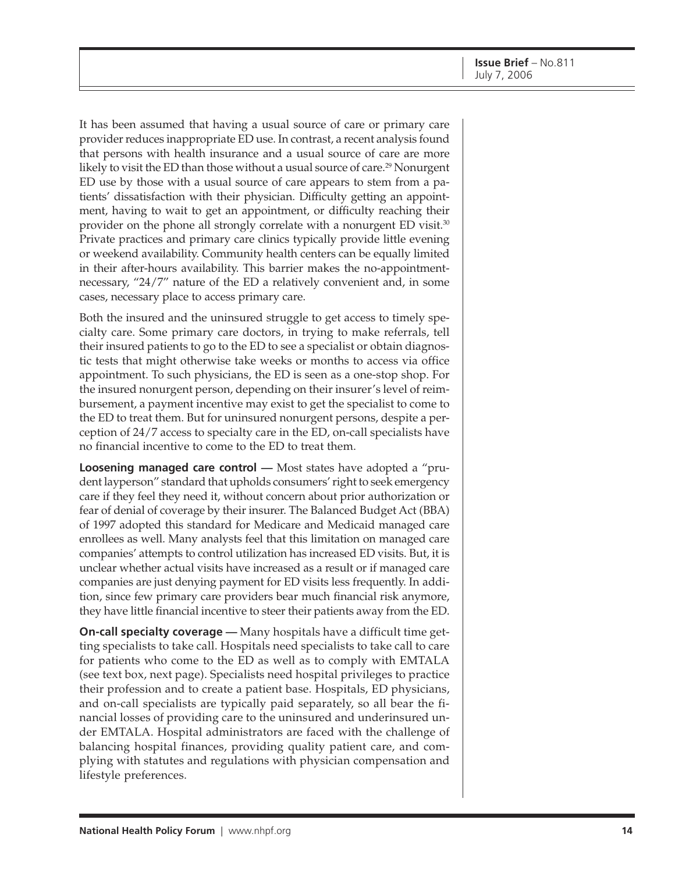It has been assumed that having a usual source of care or primary care provider reduces inappropriate ED use. In contrast, a recent analysis found that persons with health insurance and a usual source of care are more likely to visit the ED than those without a usual source of care.<sup>29</sup> Nonurgent ED use by those with a usual source of care appears to stem from a patients' dissatisfaction with their physician. Difficulty getting an appointment, having to wait to get an appointment, or difficulty reaching their provider on the phone all strongly correlate with a nonurgent ED visit.<sup>30</sup> Private practices and primary care clinics typically provide little evening or weekend availability. Community health centers can be equally limited in their after-hours availability. This barrier makes the no-appointmentnecessary, "24/7" nature of the ED a relatively convenient and, in some cases, necessary place to access primary care.

Both the insured and the uninsured struggle to get access to timely specialty care. Some primary care doctors, in trying to make referrals, tell their insured patients to go to the ED to see a specialist or obtain diagnostic tests that might otherwise take weeks or months to access via office appointment. To such physicians, the ED is seen as a one-stop shop. For the insured nonurgent person, depending on their insurer's level of reimbursement, a payment incentive may exist to get the specialist to come to the ED to treat them. But for uninsured nonurgent persons, despite a perception of 24/7 access to specialty care in the ED, on-call specialists have no financial incentive to come to the ED to treat them.

**Loosening managed care control** — Most states have adopted a "prudent layperson" standard that upholds consumers' right to seek emergency care if they feel they need it, without concern about prior authorization or fear of denial of coverage by their insurer. The Balanced Budget Act (BBA) of 1997 adopted this standard for Medicare and Medicaid managed care enrollees as well. Many analysts feel that this limitation on managed care companies' attempts to control utilization has increased ED visits. But, it is unclear whether actual visits have increased as a result or if managed care companies are just denying payment for ED visits less frequently. In addition, since few primary care providers bear much financial risk anymore, they have little financial incentive to steer their patients away from the ED.

**On-call specialty coverage** — Many hospitals have a difficult time getting specialists to take call. Hospitals need specialists to take call to care for patients who come to the ED as well as to comply with EMTALA (see text box, next page). Specialists need hospital privileges to practice their profession and to create a patient base. Hospitals, ED physicians, and on-call specialists are typically paid separately, so all bear the financial losses of providing care to the uninsured and underinsured under EMTALA. Hospital administrators are faced with the challenge of balancing hospital finances, providing quality patient care, and complying with statutes and regulations with physician compensation and lifestyle preferences.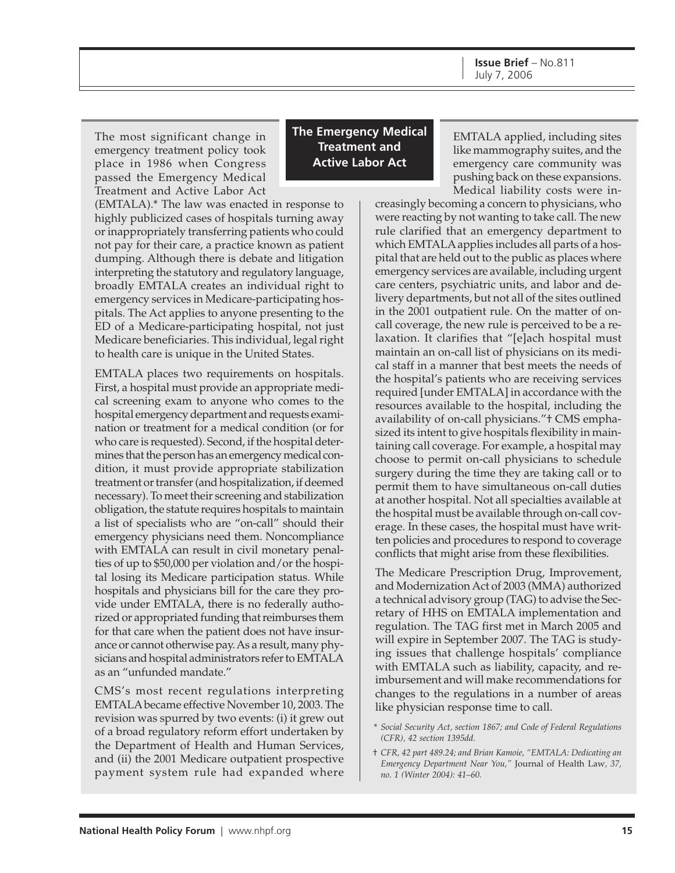**Issue Brief** – No.811 July 7, 2006

The most significant change in emergency treatment policy took place in 1986 when Congress passed the Emergency Medical Treatment and Active Labor Act

(EMTALA).\* The law was enacted in response to highly publicized cases of hospitals turning away or inappropriately transferring patients who could not pay for their care, a practice known as patient dumping. Although there is debate and litigation interpreting the statutory and regulatory language, broadly EMTALA creates an individual right to emergency services in Medicare-participating hospitals. The Act applies to anyone presenting to the ED of a Medicare-participating hospital, not just Medicare beneficiaries. This individual, legal right to health care is unique in the United States.

EMTALA places two requirements on hospitals. First, a hospital must provide an appropriate medical screening exam to anyone who comes to the hospital emergency department and requests examination or treatment for a medical condition (or for who care is requested). Second, if the hospital determines that the person has an emergency medical condition, it must provide appropriate stabilization treatment or transfer (and hospitalization, if deemed necessary). To meet their screening and stabilization obligation, the statute requires hospitals to maintain a list of specialists who are "on-call" should their emergency physicians need them. Noncompliance with EMTALA can result in civil monetary penalties of up to \$50,000 per violation and/or the hospital losing its Medicare participation status. While hospitals and physicians bill for the care they provide under EMTALA, there is no federally authorized or appropriated funding that reimburses them for that care when the patient does not have insurance or cannot otherwise pay. As a result, many physicians and hospital administrators refer to EMTALA as an "unfunded mandate."

CMS's most recent regulations interpreting EMTALA became effective November 10, 2003. The revision was spurred by two events: (i) it grew out of a broad regulatory reform effort undertaken by the Department of Health and Human Services, and (ii) the 2001 Medicare outpatient prospective payment system rule had expanded where

**The Emergency Medical Treatment and Active Labor Act**

EMTALA applied, including sites like mammography suites, and the emergency care community was pushing back on these expansions. Medical liability costs were in-

creasingly becoming a concern to physicians, who were reacting by not wanting to take call. The new rule clarified that an emergency department to which EMTALA applies includes all parts of a hospital that are held out to the public as places where emergency services are available, including urgent care centers, psychiatric units, and labor and delivery departments, but not all of the sites outlined in the 2001 outpatient rule. On the matter of oncall coverage, the new rule is perceived to be a relaxation. It clarifies that "[e]ach hospital must maintain an on-call list of physicians on its medical staff in a manner that best meets the needs of the hospital's patients who are receiving services required [under EMTALA] in accordance with the resources available to the hospital, including the availability of on-call physicians."<sup>+</sup> CMS emphasized its intent to give hospitals flexibility in maintaining call coverage. For example, a hospital may choose to permit on-call physicians to schedule surgery during the time they are taking call or to permit them to have simultaneous on-call duties at another hospital. Not all specialties available at the hospital must be available through on-call coverage. In these cases, the hospital must have written policies and procedures to respond to coverage conflicts that might arise from these flexibilities.

The Medicare Prescription Drug, Improvement, and Modernization Act of 2003 (MMA) authorized a technical advisory group (TAG) to advise the Secretary of HHS on EMTALA implementation and regulation. The TAG first met in March 2005 and will expire in September 2007. The TAG is studying issues that challenge hospitals' compliance with EMTALA such as liability, capacity, and reimbursement and will make recommendations for changes to the regulations in a number of areas like physician response time to call.

- \* *Social Security Act, section 1867; and Code of Federal Regulations (CFR), 42 section 1395dd.*
- † *CFR, 42 part 489.24; and Brian Kamoie, "EMTALA: Dedicating an Emergency Department Near You,"* Journal of Health Law*, 37, no. 1 (Winter 2004): 41–60.*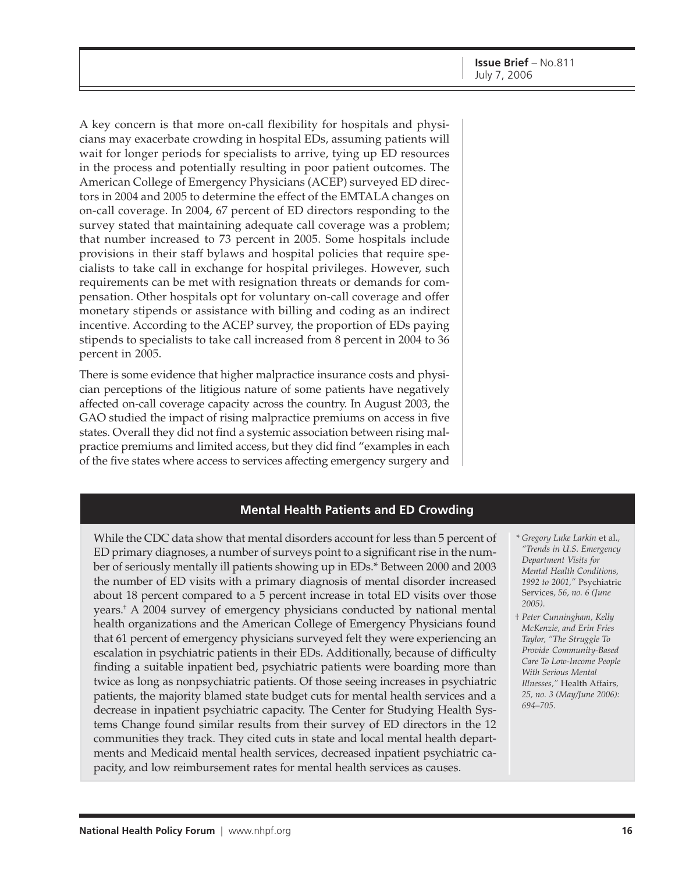A key concern is that more on-call flexibility for hospitals and physicians may exacerbate crowding in hospital EDs, assuming patients will wait for longer periods for specialists to arrive, tying up ED resources in the process and potentially resulting in poor patient outcomes. The American College of Emergency Physicians (ACEP) surveyed ED directors in 2004 and 2005 to determine the effect of the EMTALA changes on on-call coverage. In 2004, 67 percent of ED directors responding to the survey stated that maintaining adequate call coverage was a problem; that number increased to 73 percent in 2005. Some hospitals include provisions in their staff bylaws and hospital policies that require specialists to take call in exchange for hospital privileges. However, such requirements can be met with resignation threats or demands for compensation. Other hospitals opt for voluntary on-call coverage and offer monetary stipends or assistance with billing and coding as an indirect incentive. According to the ACEP survey, the proportion of EDs paying stipends to specialists to take call increased from 8 percent in 2004 to 36 percent in 2005.

There is some evidence that higher malpractice insurance costs and physician perceptions of the litigious nature of some patients have negatively affected on-call coverage capacity across the country. In August 2003, the GAO studied the impact of rising malpractice premiums on access in five states. Overall they did not find a systemic association between rising malpractice premiums and limited access, but they did find "examples in each of the five states where access to services affecting emergency surgery and

### **Mental Health Patients and ED Crowding**

While the CDC data show that mental disorders account for less than 5 percent of ED primary diagnoses, a number of surveys point to a significant rise in the number of seriously mentally ill patients showing up in EDs.\* Between 2000 and 2003 the number of ED visits with a primary diagnosis of mental disorder increased about 18 percent compared to a 5 percent increase in total ED visits over those years.† A 2004 survey of emergency physicians conducted by national mental health organizations and the American College of Emergency Physicians found that 61 percent of emergency physicians surveyed felt they were experiencing an escalation in psychiatric patients in their EDs. Additionally, because of difficulty finding a suitable inpatient bed, psychiatric patients were boarding more than twice as long as nonpsychiatric patients. Of those seeing increases in psychiatric patients, the majority blamed state budget cuts for mental health services and a decrease in inpatient psychiatric capacity. The Center for Studying Health Systems Change found similar results from their survey of ED directors in the 12 communities they track. They cited cuts in state and local mental health departments and Medicaid mental health services, decreased inpatient psychiatric capacity, and low reimbursement rates for mental health services as causes.

- \* *Gregory Luke Larkin* et al.*, "Trends in U.S. Emergency Department Visits for Mental Health Conditions, 1992 to 2001,"* Psychiatric Services*, 56, no. 6 (June 2005).*
- † *Peter Cunningham, Kelly McKenzie, and Erin Fries Taylor, "The Struggle To Provide Community-Based Care To Low-Income People With Serious Mental Illnesses,"* Health Affairs*, 25, no. 3 (May/June 2006): 694–705.*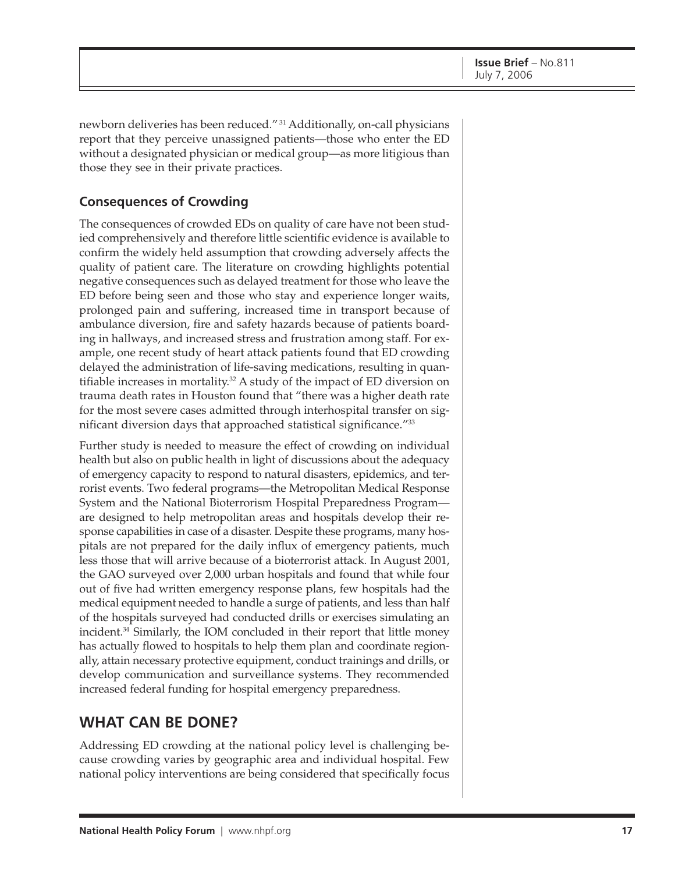newborn deliveries has been reduced." 31 Additionally, on-call physicians report that they perceive unassigned patients—those who enter the ED without a designated physician or medical group—as more litigious than those they see in their private practices.

# **Consequences of Crowding**

The consequences of crowded EDs on quality of care have not been studied comprehensively and therefore little scientific evidence is available to confirm the widely held assumption that crowding adversely affects the quality of patient care. The literature on crowding highlights potential negative consequences such as delayed treatment for those who leave the ED before being seen and those who stay and experience longer waits, prolonged pain and suffering, increased time in transport because of ambulance diversion, fire and safety hazards because of patients boarding in hallways, and increased stress and frustration among staff. For example, one recent study of heart attack patients found that ED crowding delayed the administration of life-saving medications, resulting in quantifiable increases in mortality.<sup>32</sup> A study of the impact of ED diversion on trauma death rates in Houston found that "there was a higher death rate for the most severe cases admitted through interhospital transfer on significant diversion days that approached statistical significance."33

Further study is needed to measure the effect of crowding on individual health but also on public health in light of discussions about the adequacy of emergency capacity to respond to natural disasters, epidemics, and terrorist events. Two federal programs—the Metropolitan Medical Response System and the National Bioterrorism Hospital Preparedness Program are designed to help metropolitan areas and hospitals develop their response capabilities in case of a disaster. Despite these programs, many hospitals are not prepared for the daily influx of emergency patients, much less those that will arrive because of a bioterrorist attack. In August 2001, the GAO surveyed over 2,000 urban hospitals and found that while four out of five had written emergency response plans, few hospitals had the medical equipment needed to handle a surge of patients, and less than half of the hospitals surveyed had conducted drills or exercises simulating an incident.34 Similarly, the IOM concluded in their report that little money has actually flowed to hospitals to help them plan and coordinate regionally, attain necessary protective equipment, conduct trainings and drills, or develop communication and surveillance systems. They recommended increased federal funding for hospital emergency preparedness.

# **WHAT CAN BE DONE?**

Addressing ED crowding at the national policy level is challenging because crowding varies by geographic area and individual hospital. Few national policy interventions are being considered that specifically focus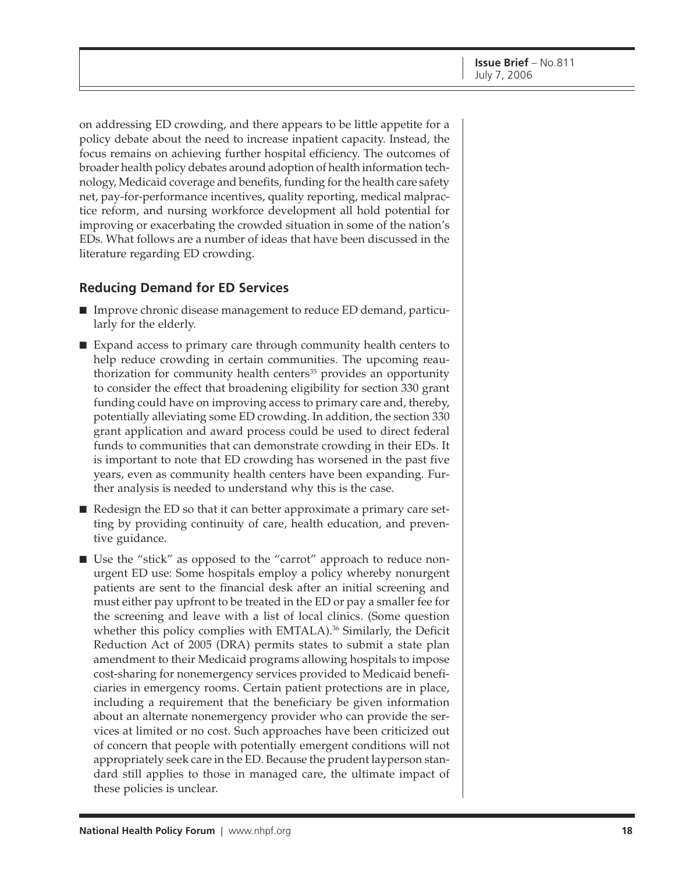on addressing ED crowding, and there appears to be little appetite for a policy debate about the need to increase inpatient capacity. Instead, the focus remains on achieving further hospital efficiency. The outcomes of broader health policy debates around adoption of health information technology, Medicaid coverage and benefits, funding for the health care safety net, pay-for-performance incentives, quality reporting, medical malpractice reform, and nursing workforce development all hold potential for improving or exacerbating the crowded situation in some of the nation's EDs. What follows are a number of ideas that have been discussed in the literature regarding ED crowding.

## **Reducing Demand for ED Services**

- Improve chronic disease management to reduce ED demand, particularly for the elderly.
- Expand access to primary care through community health centers to help reduce crowding in certain communities. The upcoming reauthorization for community health centers $35$  provides an opportunity to consider the effect that broadening eligibility for section 330 grant funding could have on improving access to primary care and, thereby, potentially alleviating some ED crowding. In addition, the section 330 grant application and award process could be used to direct federal funds to communities that can demonstrate crowding in their EDs. It is important to note that ED crowding has worsened in the past five years, even as community health centers have been expanding. Further analysis is needed to understand why this is the case.
- Redesign the ED so that it can better approximate a primary care setting by providing continuity of care, health education, and preventive guidance.
- Use the "stick" as opposed to the "carrot" approach to reduce nonurgent ED use: Some hospitals employ a policy whereby nonurgent patients are sent to the financial desk after an initial screening and must either pay upfront to be treated in the ED or pay a smaller fee for the screening and leave with a list of local clinics. (Some question whether this policy complies with EMTALA).<sup>36</sup> Similarly, the Deficit Reduction Act of 2005 (DRA) permits states to submit a state plan amendment to their Medicaid programs allowing hospitals to impose cost-sharing for nonemergency services provided to Medicaid beneficiaries in emergency rooms. Certain patient protections are in place, including a requirement that the beneficiary be given information about an alternate nonemergency provider who can provide the services at limited or no cost. Such approaches have been criticized out of concern that people with potentially emergent conditions will not appropriately seek care in the ED. Because the prudent layperson standard still applies to those in managed care, the ultimate impact of these policies is unclear.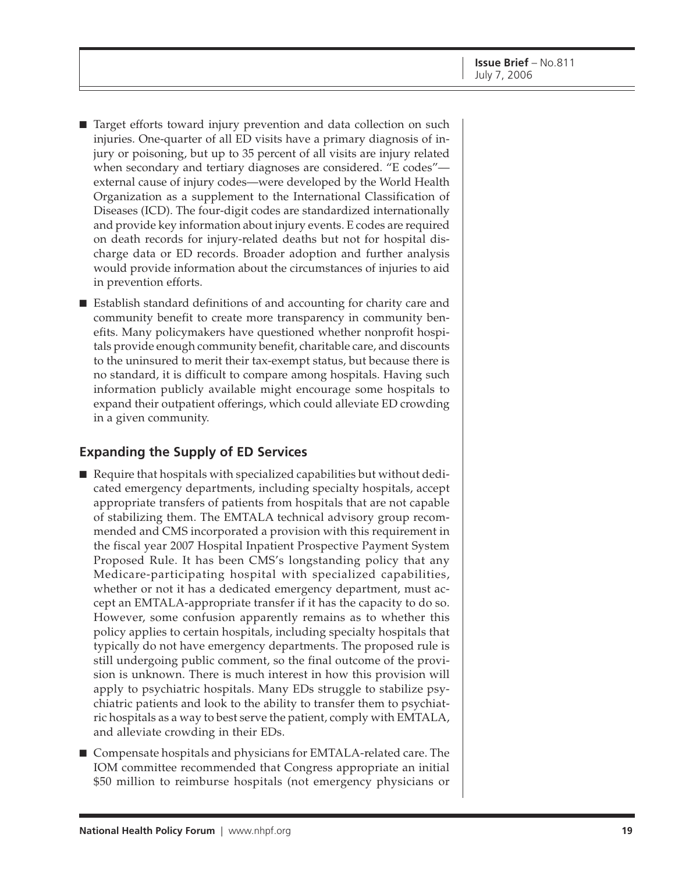- Target efforts toward injury prevention and data collection on such injuries. One-quarter of all ED visits have a primary diagnosis of injury or poisoning, but up to 35 percent of all visits are injury related when secondary and tertiary diagnoses are considered. "E codes" external cause of injury codes—were developed by the World Health Organization as a supplement to the International Classification of Diseases (ICD). The four-digit codes are standardized internationally and provide key information about injury events. E codes are required on death records for injury-related deaths but not for hospital discharge data or ED records. Broader adoption and further analysis would provide information about the circumstances of injuries to aid in prevention efforts.
- Establish standard definitions of and accounting for charity care and community benefit to create more transparency in community benefits. Many policymakers have questioned whether nonprofit hospitals provide enough community benefit, charitable care, and discounts to the uninsured to merit their tax-exempt status, but because there is no standard, it is difficult to compare among hospitals. Having such information publicly available might encourage some hospitals to expand their outpatient offerings, which could alleviate ED crowding in a given community.

## **Expanding the Supply of ED Services**

- Require that hospitals with specialized capabilities but without dedicated emergency departments, including specialty hospitals, accept appropriate transfers of patients from hospitals that are not capable of stabilizing them. The EMTALA technical advisory group recommended and CMS incorporated a provision with this requirement in the fiscal year 2007 Hospital Inpatient Prospective Payment System Proposed Rule. It has been CMS's longstanding policy that any Medicare-participating hospital with specialized capabilities, whether or not it has a dedicated emergency department, must accept an EMTALA-appropriate transfer if it has the capacity to do so. However, some confusion apparently remains as to whether this policy applies to certain hospitals, including specialty hospitals that typically do not have emergency departments. The proposed rule is still undergoing public comment, so the final outcome of the provision is unknown. There is much interest in how this provision will apply to psychiatric hospitals. Many EDs struggle to stabilize psychiatric patients and look to the ability to transfer them to psychiatric hospitals as a way to best serve the patient, comply with EMTALA, and alleviate crowding in their EDs.
- Compensate hospitals and physicians for EMTALA-related care. The IOM committee recommended that Congress appropriate an initial \$50 million to reimburse hospitals (not emergency physicians or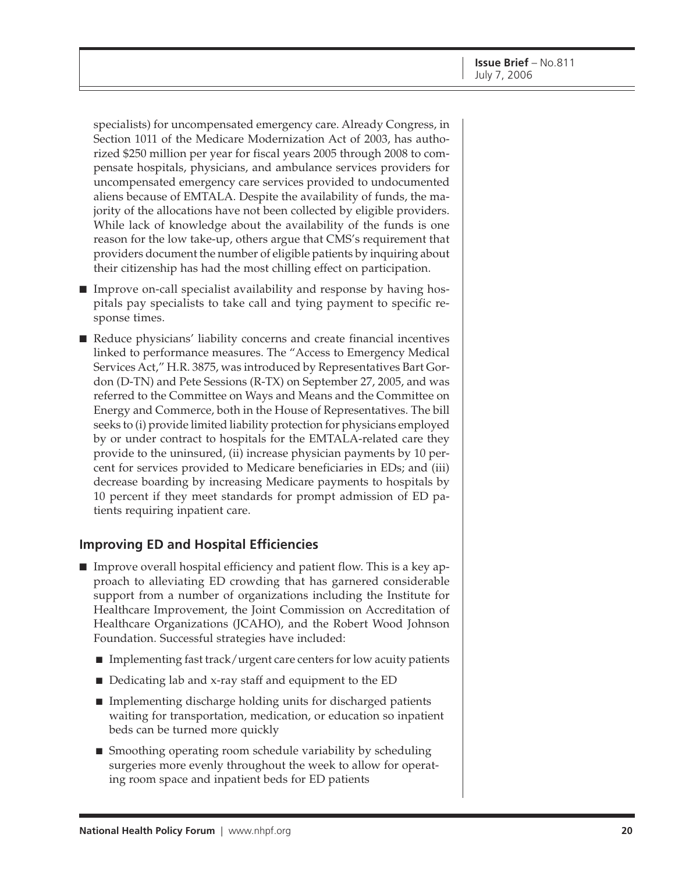specialists) for uncompensated emergency care. Already Congress, in Section 1011 of the Medicare Modernization Act of 2003, has authorized \$250 million per year for fiscal years 2005 through 2008 to compensate hospitals, physicians, and ambulance services providers for uncompensated emergency care services provided to undocumented aliens because of EMTALA. Despite the availability of funds, the majority of the allocations have not been collected by eligible providers. While lack of knowledge about the availability of the funds is one reason for the low take-up, others argue that CMS's requirement that providers document the number of eligible patients by inquiring about their citizenship has had the most chilling effect on participation.

- Improve on-call specialist availability and response by having hospitals pay specialists to take call and tying payment to specific response times.
- Reduce physicians' liability concerns and create financial incentives linked to performance measures. The "Access to Emergency Medical Services Act," H.R. 3875, was introduced by Representatives Bart Gordon (D-TN) and Pete Sessions (R-TX) on September 27, 2005, and was referred to the Committee on Ways and Means and the Committee on Energy and Commerce, both in the House of Representatives. The bill seeks to (i) provide limited liability protection for physicians employed by or under contract to hospitals for the EMTALA-related care they provide to the uninsured, (ii) increase physician payments by 10 percent for services provided to Medicare beneficiaries in EDs; and (iii) decrease boarding by increasing Medicare payments to hospitals by 10 percent if they meet standards for prompt admission of ED patients requiring inpatient care.

## **Improving ED and Hospital Efficiencies**

- Improve overall hospital efficiency and patient flow. This is a key approach to alleviating ED crowding that has garnered considerable support from a number of organizations including the Institute for Healthcare Improvement, the Joint Commission on Accreditation of Healthcare Organizations (JCAHO), and the Robert Wood Johnson Foundation. Successful strategies have included:
	- Implementing fast track/urgent care centers for low acuity patients
	- Dedicating lab and x-ray staff and equipment to the ED
	- Implementing discharge holding units for discharged patients waiting for transportation, medication, or education so inpatient beds can be turned more quickly
	- Smoothing operating room schedule variability by scheduling surgeries more evenly throughout the week to allow for operating room space and inpatient beds for ED patients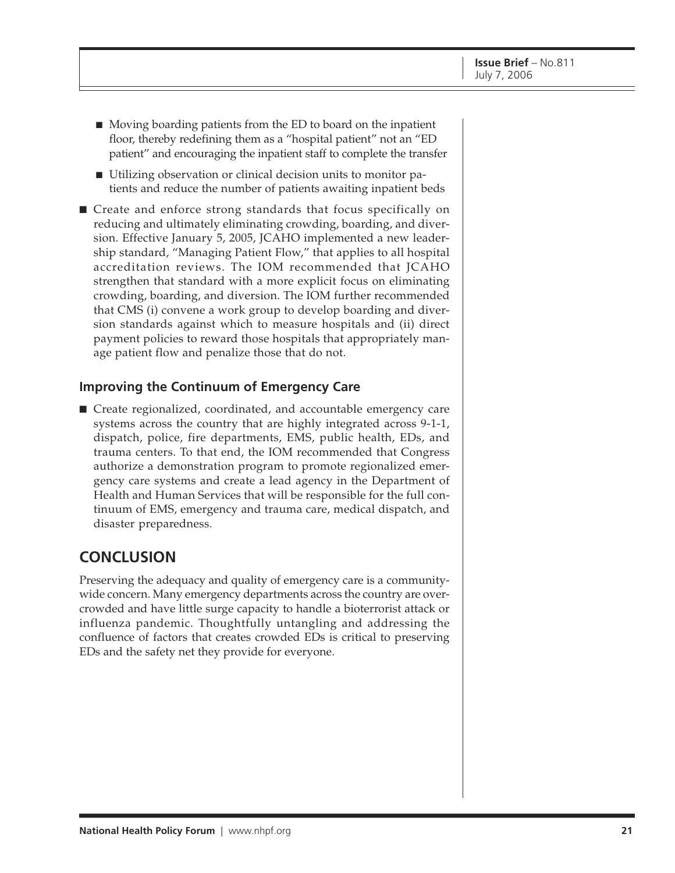- Moving boarding patients from the ED to board on the inpatient floor, thereby redefining them as a "hospital patient" not an "ED patient" and encouraging the inpatient staff to complete the transfer
- Utilizing observation or clinical decision units to monitor patients and reduce the number of patients awaiting inpatient beds
- Create and enforce strong standards that focus specifically on reducing and ultimately eliminating crowding, boarding, and diversion. Effective January 5, 2005, JCAHO implemented a new leadership standard, "Managing Patient Flow," that applies to all hospital accreditation reviews. The IOM recommended that JCAHO strengthen that standard with a more explicit focus on eliminating crowding, boarding, and diversion. The IOM further recommended that CMS (i) convene a work group to develop boarding and diversion standards against which to measure hospitals and (ii) direct payment policies to reward those hospitals that appropriately manage patient flow and penalize those that do not.

### **Improving the Continuum of Emergency Care**

■ Create regionalized, coordinated, and accountable emergency care systems across the country that are highly integrated across 9-1-1, dispatch, police, fire departments, EMS, public health, EDs, and trauma centers. To that end, the IOM recommended that Congress authorize a demonstration program to promote regionalized emergency care systems and create a lead agency in the Department of Health and Human Services that will be responsible for the full continuum of EMS, emergency and trauma care, medical dispatch, and disaster preparedness.

# **CONCLUSION**

Preserving the adequacy and quality of emergency care is a communitywide concern. Many emergency departments across the country are overcrowded and have little surge capacity to handle a bioterrorist attack or influenza pandemic. Thoughtfully untangling and addressing the confluence of factors that creates crowded EDs is critical to preserving EDs and the safety net they provide for everyone.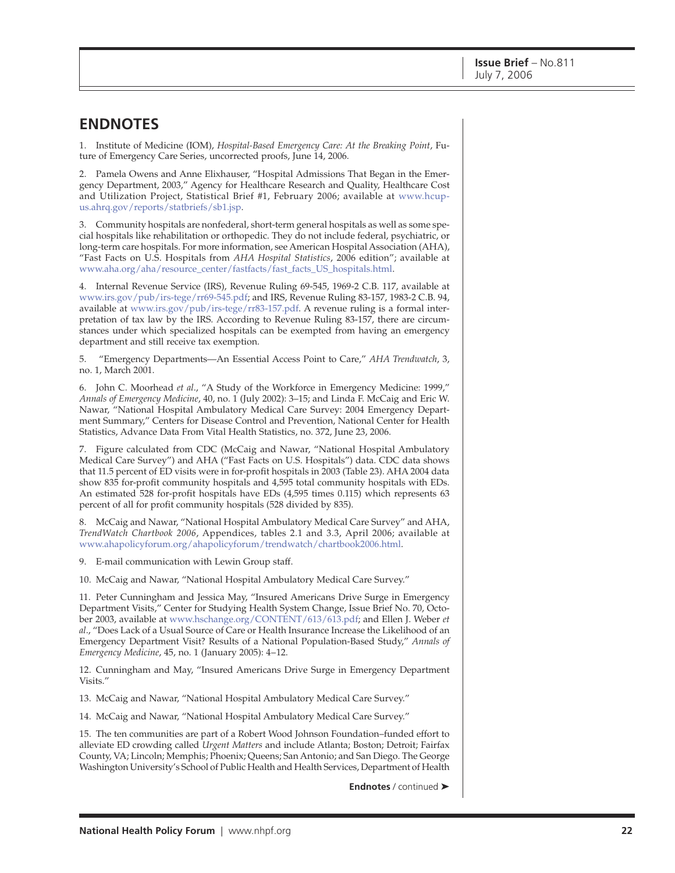# **ENDNOTES**

1. Institute of Medicine (IOM), *Hospital-Based Emergency Care: At the Breaking Point*, Future of Emergency Care Series, uncorrected proofs, June 14, 2006.

2. Pamela Owens and Anne Elixhauser, "Hospital Admissions That Began in the Emergency Department, 2003," Agency for Healthcare Research and Quality, Healthcare Cost [and Utilization Project, Statistical Brief #1, February 2006; available at www.hcup](http://www.hcup-us.ahrq.gov/reports/statbriefs/sb1.jsp)us.[ahrq.gov/reports/statbriefs/sb1.jsp.](http://www.hcup-us.ahrq.gov/reports/statbriefs/sb1.jsp)

3. Community hospitals are nonfederal, short-term general hospitals as well as some special hospitals like rehabilitation or orthopedic. They do not include federal, psychiatric, or long-term care hospitals. For more information, see American Hospital Association (AHA), "Fast Facts on U.S. Hospitals from *AHA Hospital Statistics*, 2006 edition"; available at [www.aha.org/aha/resource\\_center/fastfacts/fast\\_facts\\_US\\_hospitals.html.](http://www.aha.org/aha/resource_center/fastfacts/fast_facts_US_hospitals.html)

4. Internal Revenue Service (IRS), Revenue Ruling 69-545, 1969-2 C.B. 117, available at [www.irs.gov/pub/irs-tege/rr69-545.pdf;](http://www.irs.gov/pub/irs-tege/rr69-545.pdf) and IRS, Revenue Ruling 83-157, 1983-2 C.B. 94, available at [www.irs.gov/pub/irs-tege/rr83-157.pdf.](http://www.irs.gov/pub/irs-tege/rr83-157.pdf) A revenue ruling is a formal interpretation of tax law by the IRS. According to Revenue Ruling 83-157, there are circumstances under which specialized hospitals can be exempted from having an emergency department and still receive tax exemption.

5. "Emergency Departments—An Essential Access Point to Care," *AHA Trendwatch*, 3, no. 1, March 2001.

6. John C. Moorhead *et al*., "A Study of the Workforce in Emergency Medicine: 1999," *Annals of Emergency Medicine*, 40, no. 1 (July 2002): 3–15; and Linda F. McCaig and Eric W. Nawar, "National Hospital Ambulatory Medical Care Survey: 2004 Emergency Department Summary," Centers for Disease Control and Prevention, National Center for Health Statistics, Advance Data From Vital Health Statistics, no. 372, June 23, 2006.

7. Figure calculated from CDC (McCaig and Nawar, "National Hospital Ambulatory Medical Care Survey") and AHA ("Fast Facts on U.S. Hospitals") data. CDC data shows that 11.5 percent of ED visits were in for-profit hospitals in 2003 (Table 23). AHA 2004 data show 835 for-profit community hospitals and 4,595 total community hospitals with EDs. An estimated 528 for-profit hospitals have EDs (4,595 times 0.115) which represents 63 percent of all for profit community hospitals (528 divided by 835).

8. McCaig and Nawar, "National Hospital Ambulatory Medical Care Survey" and AHA, *TrendWatch Chartbook 2006*, Appendices, tables 2.1 and 3.3, April 2006; available at [www.ahapolicyforum.org/ahapolicyforum/trendwatch/chartbook2006.html.](http://www.ahapolicyforum.org/ahapolicyforum/trendwatch/chartbook2006.html)

9. E-mail communication with Lewin Group staff.

10. McCaig and Nawar, "National Hospital Ambulatory Medical Care Survey."

11. Peter Cunningham and Jessica May, "Insured Americans Drive Surge in Emergency Department Visits," Center for Studying Health System Change, Issue Brief No. 70, October 2003, available at [www.hschange.org/CONTENT/613/613.pdf;](http://www.hschange.org/CONTENT/613/613.pdf) and Ellen J. Weber *et al*., "Does Lack of a Usual Source of Care or Health Insurance Increase the Likelihood of an Emergency Department Visit? Results of a National Population-Based Study," *Annals of Emergency Medicine*, 45, no. 1 (January 2005): 4–12.

12. Cunningham and May, "Insured Americans Drive Surge in Emergency Department Visits."

13. McCaig and Nawar, "National Hospital Ambulatory Medical Care Survey."

14. McCaig and Nawar, "National Hospital Ambulatory Medical Care Survey."

15. The ten communities are part of a Robert Wood Johnson Foundation–funded effort to alleviate ED crowding called *Urgent Matters* and include Atlanta; Boston; Detroit; Fairfax County, VA; Lincoln; Memphis; Phoenix; Queens; San Antonio; and San Diego. The George Washington University's School of Public Health and Health Services, Department of Health

**Endnotes** / continued ➤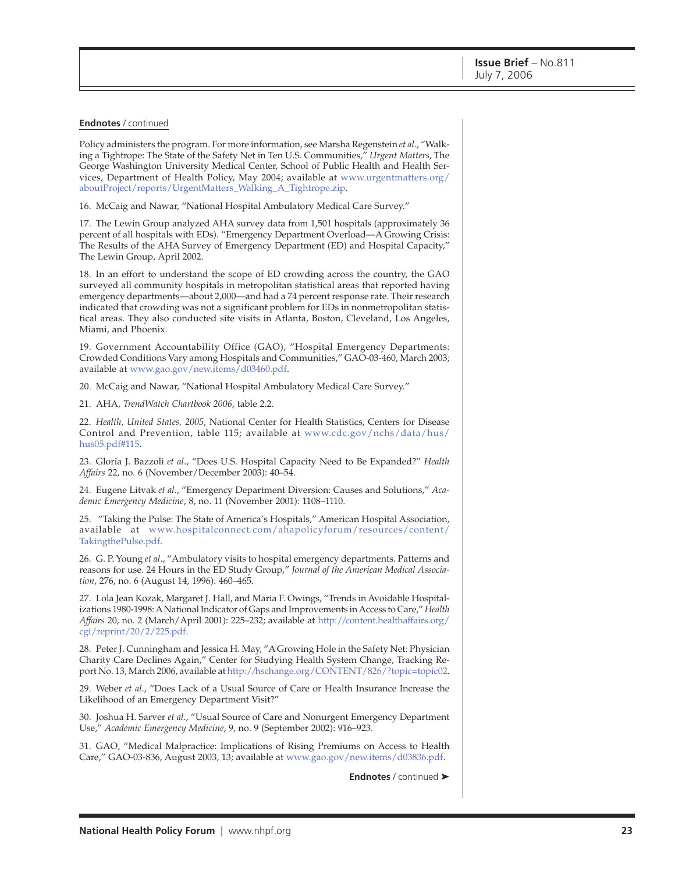#### **Endnotes** / continued

Policy administers the program. For more information, see Marsha Regenstein *et al.*, "Walking a Tightrope: The State of the Safety Net in Ten U.S. Communities," *Urgent Matters*, The George Washington University Medical Center, School of Public Health and Health Services, Department of Health Policy, May 2004; available at [www.urgentmatters.org/](http://www.urgentmatters.org/aboutProject/reports/UrgentMatters_Walking_A_Tightrope.zip) aboutProject/reports/UrgentMatters\_Walking\_A\_Tightrope.zip.

16. McCaig and Nawar, "National Hospital Ambulatory Medical Care Survey."

17. The Lewin Group analyzed AHA survey data from 1,501 hospitals (approximately 36 percent of all hospitals with EDs). "Emergency Department Overload—A Growing Crisis: The Results of the AHA Survey of Emergency Department (ED) and Hospital Capacity," The Lewin Group, April 2002.

18. In an effort to understand the scope of ED crowding across the country, the GAO surveyed all community hospitals in metropolitan statistical areas that reported having emergency departments—about 2,000—and had a 74 percent response rate. Their research indicated that crowding was not a significant problem for EDs in nonmetropolitan statistical areas. They also conducted site visits in Atlanta, Boston, Cleveland, Los Angeles, Miami, and Phoenix.

19. Government Accountability Office (GAO), "Hospital Emergency Departments: Crowded Conditions Vary among Hospitals and Communities," GAO-03-460, March 2003; available at [www.gao.gov/new.items/d03460.pdf.](http://www.gao.gov/new.items/d03460.pdf)

20. McCaig and Nawar, "National Hospital Ambulatory Medical Care Survey."

21. AHA, *TrendWatch Chartbook 2006*, table 2.2.

22. *Health, United States, 2005*, National Center for Health Statistics, Centers for Disease Control and Prevention, table 115; available at [www.cdc.gov/nchs/data/hus/](http://www.cdc.gov/nchs/data/hus/hus05.pdf#115) hus05.pdf#115.

23. Gloria J. Bazzoli *et al*., "Does U.S. Hospital Capacity Need to Be Expanded?" *Health Affairs* 22, no. 6 (November/December 2003): 40–54.

24. Eugene Litvak *et al.*, "Emergency Department Diversion: Causes and Solutions," *Academic Emergency Medicine*, 8, no. 11 (November 2001): 1108–1110.

25. "Taking the Pulse: The State of America's Hospitals," American Hospital Association, available at [www.hospitalconnect.com/ahapolicyforum/resources/content/](http://www.hospitalconnect.com/ahapolicyforum/resources/content/TakingthePulse.pdf) TakingthePulse.pdf.

26. G. P. Young *et al*., "Ambulatory visits to hospital emergency departments. Patterns and reasons for use. 24 Hours in the ED Study Group," *Journal of the American Medical Association*, 276, no. 6 (August 14, 1996): 460–465.

27. Lola Jean Kozak, Margaret J. Hall, and Maria F. Owings, "Trends in Avoidable Hospitalizations 1980-1998: A National Indicator of Gaps and Improvements in Access to Care," *Health Affairs* 20, no. 2 (March/April 2001): 225–232; available at [http://content.healthaffairs.org/](http://content.healthaffairs.org) cgi/reprint/20/2/225.pdf.

28. Peter J. Cunningham and Jessica H. May, "A Growing Hole in the Safety Net: Physician Charity Care Declines Again," Center for Studying Health System Change, Tracking Report No. 13, March 2006, available at [http://hschange.org/CONTENT/826/?topic=topic02.](http://hschange.org/CONTENT/826/?topic=topic02)

29. Weber *et al*., "Does Lack of a Usual Source of Care or Health Insurance Increase the Likelihood of an Emergency Department Visit?"

30. Joshua H. Sarver *et al*., "Usual Source of Care and Nonurgent Emergency Department Use," *Academic Emergency Medicine*, 9, no. 9 (September 2002): 916–923.

31. GAO, "Medical Malpractice: Implications of Rising Premiums on Access to Health Care," GAO-03-836, August 2003, 13; available at [www.gao.gov/new.items/d03836.pdf.](http://www.gao.gov/new.items/d03836.pdf)

**Endnotes** / continued ➤